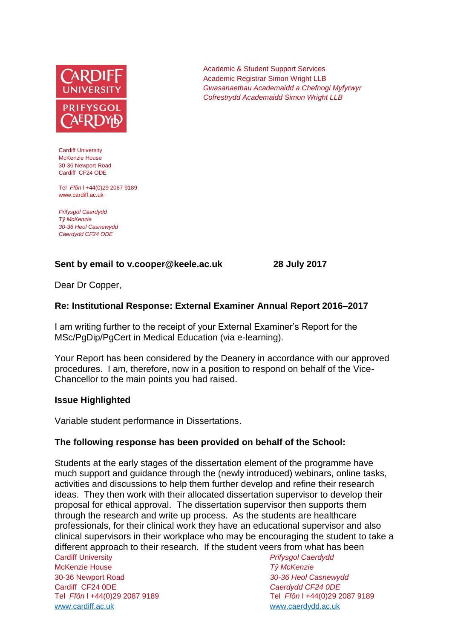

Cardiff University McKenzie House 30-36 Newport Road Cardiff CF24 ODE

Tel *Ffôn* l +44(0)29 2087 9189 www.cardiff.ac.uk

*Prifysgol Caerdydd Tŷ McKenzie 30-36 Heol Casnewydd Caerdydd CF24 ODE*

## **Sent by email to v.cooper@keele.ac.uk 28 July 2017**

Academic & Student Support Services Academic Registrar Simon Wright LLB *Gwasanaethau Academaidd a Chefnogi Myfyrwyr Cofrestrydd Academaidd Simon Wright LLB*

Dear Dr Copper,

### **Re: Institutional Response: External Examiner Annual Report 2016–2017**

I am writing further to the receipt of your External Examiner's Report for the MSc/PgDip/PgCert in Medical Education (via e-learning).

Your Report has been considered by the Deanery in accordance with our approved procedures. I am, therefore, now in a position to respond on behalf of the Vice-Chancellor to the main points you had raised.

#### **Issue Highlighted**

Variable student performance in Dissertations.

## **The following response has been provided on behalf of the School:**

Students at the early stages of the dissertation element of the programme have much support and guidance through the (newly introduced) webinars, online tasks, activities and discussions to help them further develop and refine their research ideas. They then work with their allocated dissertation supervisor to develop their proposal for ethical approval. The dissertation supervisor then supports them through the research and write up process. As the students are healthcare professionals, for their clinical work they have an educational supervisor and also clinical supervisors in their workplace who may be encouraging the student to take a different approach to their research. If the student veers from what has been

Cardiff University *Prifysgol Caerdydd* McKenzie House *Tŷ McKenzie* 30-36 Newport Road *30-36 Heol Casnewydd* Cardiff CF24 0DE *Caerdydd CF24 0DE* [www.cardiff.ac.uk](http://www.cardiff.ac.uk/) www.cardiff.ac.uk

Tel *Ffôn* l +44(0)29 2087 9189 Tel *Ffôn* l +44(0)29 2087 9189